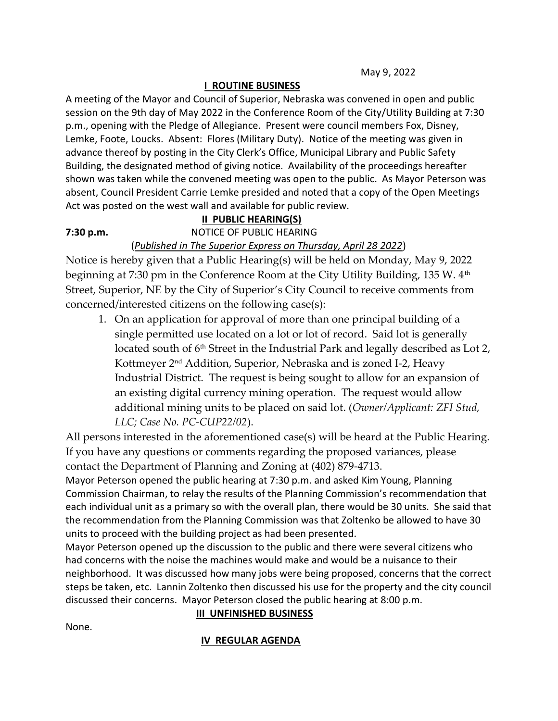### I ROUTINE BUSINESS

A meeting of the Mayor and Council of Superior, Nebraska was convened in open and public session on the 9th day of May 2022 in the Conference Room of the City/Utility Building at 7:30 p.m., opening with the Pledge of Allegiance. Present were council members Fox, Disney, Lemke, Foote, Loucks. Absent: Flores (Military Duty). Notice of the meeting was given in advance thereof by posting in the City Clerk's Office, Municipal Library and Public Safety Building, the designated method of giving notice. Availability of the proceedings hereafter shown was taken while the convened meeting was open to the public. As Mayor Peterson was absent, Council President Carrie Lemke presided and noted that a copy of the Open Meetings Act was posted on the west wall and available for public review.

# II PUBLIC HEARING(S)

#### 7:30 p.m. NOTICE OF PUBLIC HEARING

(Published in The Superior Express on Thursday, April 28 2022)

Notice is hereby given that a Public Hearing(s) will be held on Monday, May 9, 2022 beginning at 7:30 pm in the Conference Room at the City Utility Building, 135 W. 4<sup>th</sup> Street, Superior, NE by the City of Superior's City Council to receive comments from concerned/interested citizens on the following case(s):

1. On an application for approval of more than one principal building of a single permitted use located on a lot or lot of record. Said lot is generally located south of 6<sup>th</sup> Street in the Industrial Park and legally described as Lot 2, Kottmeyer 2nd Addition, Superior, Nebraska and is zoned I-2, Heavy Industrial District. The request is being sought to allow for an expansion of an existing digital currency mining operation. The request would allow additional mining units to be placed on said lot. (Owner/Applicant: ZFI Stud, LLC; Case No. PC-CUP22/02).

All persons interested in the aforementioned case(s) will be heard at the Public Hearing. If you have any questions or comments regarding the proposed variances, please contact the Department of Planning and Zoning at (402) 879-4713.

Mayor Peterson opened the public hearing at 7:30 p.m. and asked Kim Young, Planning Commission Chairman, to relay the results of the Planning Commission's recommendation that each individual unit as a primary so with the overall plan, there would be 30 units. She said that the recommendation from the Planning Commission was that Zoltenko be allowed to have 30 units to proceed with the building project as had been presented.

Mayor Peterson opened up the discussion to the public and there were several citizens who had concerns with the noise the machines would make and would be a nuisance to their neighborhood. It was discussed how many jobs were being proposed, concerns that the correct steps be taken, etc. Lannin Zoltenko then discussed his use for the property and the city council discussed their concerns. Mayor Peterson closed the public hearing at 8:00 p.m.

#### **III UNFINISHED BUSINESS**

None.

#### IV REGULAR AGENDA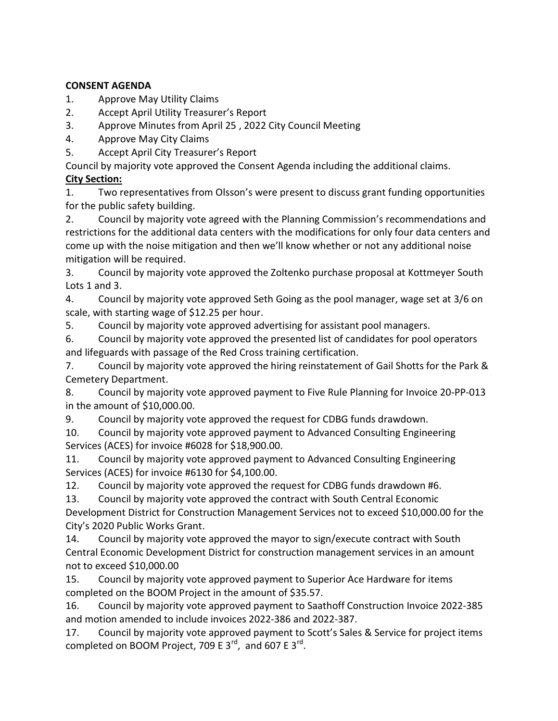### CONSENT AGENDA

- 1. Approve May Utility Claims
- 2. Accept April Utility Treasurer's Report
- 3. Approve Minutes from April 25 , 2022 City Council Meeting
- 4. Approve May City Claims
- 5. Accept April City Treasurer's Report

Council by majority vote approved the Consent Agenda including the additional claims.

## City Section:

1. Two representatives from Olsson's were present to discuss grant funding opportunities for the public safety building.

2. Council by majority vote agreed with the Planning Commission's recommendations and restrictions for the additional data centers with the modifications for only four data centers and come up with the noise mitigation and then we'll know whether or not any additional noise mitigation will be required.

3. Council by majority vote approved the Zoltenko purchase proposal at Kottmeyer South Lots 1 and 3.

4. Council by majority vote approved Seth Going as the pool manager, wage set at 3/6 on scale, with starting wage of \$12.25 per hour.

5. Council by majority vote approved advertising for assistant pool managers.

6. Council by majority vote approved the presented list of candidates for pool operators and lifeguards with passage of the Red Cross training certification.

7. Council by majority vote approved the hiring reinstatement of Gail Shotts for the Park & Cemetery Department.

8. Council by majority vote approved payment to Five Rule Planning for Invoice 20-PP-013 in the amount of \$10,000.00.

9. Council by majority vote approved the request for CDBG funds drawdown.

10. Council by majority vote approved payment to Advanced Consulting Engineering Services (ACES) for invoice #6028 for \$18,900.00.

11. Council by majority vote approved payment to Advanced Consulting Engineering Services (ACES) for invoice #6130 for \$4,100.00.

12. Council by majority vote approved the request for CDBG funds drawdown #6.

13. Council by majority vote approved the contract with South Central Economic Development District for Construction Management Services not to exceed \$10,000.00 for the City's 2020 Public Works Grant.

14. Council by majority vote approved the mayor to sign/execute contract with South Central Economic Development District for construction management services in an amount not to exceed \$10,000.00

15. Council by majority vote approved payment to Superior Ace Hardware for items completed on the BOOM Project in the amount of \$35.57.

16. Council by majority vote approved payment to Saathoff Construction Invoice 2022-385 and motion amended to include invoices 2022-386 and 2022-387.

17. Council by majority vote approved payment to Scott's Sales & Service for project items completed on BOOM Project, 709 E 3 $^{\text{rd}}$ , and 607 E 3 $^{\text{rd}}$ .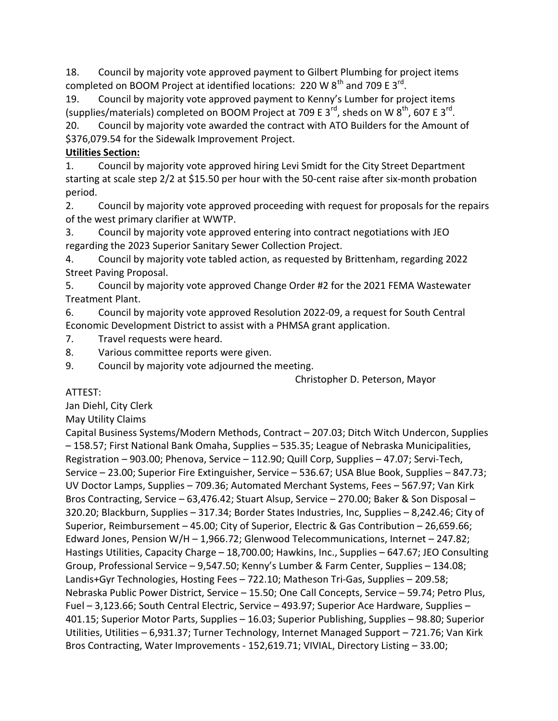18. Council by majority vote approved payment to Gilbert Plumbing for project items completed on BOOM Project at identified locations: 220 W  $8^{\text{th}}$  and 709 E  $3^{\text{rd}}$ .

19. Council by majority vote approved payment to Kenny's Lumber for project items (supplies/materials) completed on BOOM Project at 709 E 3<sup>rd</sup>, sheds on W 8<sup>th</sup>, 607 E 3<sup>rd</sup>.

20. Council by majority vote awarded the contract with ATO Builders for the Amount of \$376,079.54 for the Sidewalk Improvement Project.

# Utilities Section:

1. Council by majority vote approved hiring Levi Smidt for the City Street Department starting at scale step 2/2 at \$15.50 per hour with the 50-cent raise after six-month probation period.

2. Council by majority vote approved proceeding with request for proposals for the repairs of the west primary clarifier at WWTP.

3. Council by majority vote approved entering into contract negotiations with JEO regarding the 2023 Superior Sanitary Sewer Collection Project.

4. Council by majority vote tabled action, as requested by Brittenham, regarding 2022 Street Paving Proposal.

5. Council by majority vote approved Change Order #2 for the 2021 FEMA Wastewater Treatment Plant.

6. Council by majority vote approved Resolution 2022-09, a request for South Central Economic Development District to assist with a PHMSA grant application.

7. Travel requests were heard.

8. Various committee reports were given.

9. Council by majority vote adjourned the meeting.

Christopher D. Peterson, Mayor

# ATTEST:

Jan Diehl, City Clerk

May Utility Claims

Capital Business Systems/Modern Methods, Contract – 207.03; Ditch Witch Undercon, Supplies – 158.57; First National Bank Omaha, Supplies – 535.35; League of Nebraska Municipalities, Registration – 903.00; Phenova, Service – 112.90; Quill Corp, Supplies – 47.07; Servi-Tech, Service – 23.00; Superior Fire Extinguisher, Service – 536.67; USA Blue Book, Supplies – 847.73; UV Doctor Lamps, Supplies – 709.36; Automated Merchant Systems, Fees – 567.97; Van Kirk Bros Contracting, Service – 63,476.42; Stuart Alsup, Service – 270.00; Baker & Son Disposal – 320.20; Blackburn, Supplies – 317.34; Border States Industries, Inc, Supplies – 8,242.46; City of Superior, Reimbursement – 45.00; City of Superior, Electric & Gas Contribution – 26,659.66; Edward Jones, Pension W/H – 1,966.72; Glenwood Telecommunications, Internet – 247.82; Hastings Utilities, Capacity Charge – 18,700.00; Hawkins, Inc., Supplies – 647.67; JEO Consulting Group, Professional Service – 9,547.50; Kenny's Lumber & Farm Center, Supplies – 134.08; Landis+Gyr Technologies, Hosting Fees – 722.10; Matheson Tri-Gas, Supplies – 209.58; Nebraska Public Power District, Service – 15.50; One Call Concepts, Service – 59.74; Petro Plus, Fuel – 3,123.66; South Central Electric, Service – 493.97; Superior Ace Hardware, Supplies – 401.15; Superior Motor Parts, Supplies – 16.03; Superior Publishing, Supplies – 98.80; Superior Utilities, Utilities – 6,931.37; Turner Technology, Internet Managed Support – 721.76; Van Kirk Bros Contracting, Water Improvements - 152,619.71; VIVIAL, Directory Listing – 33.00;